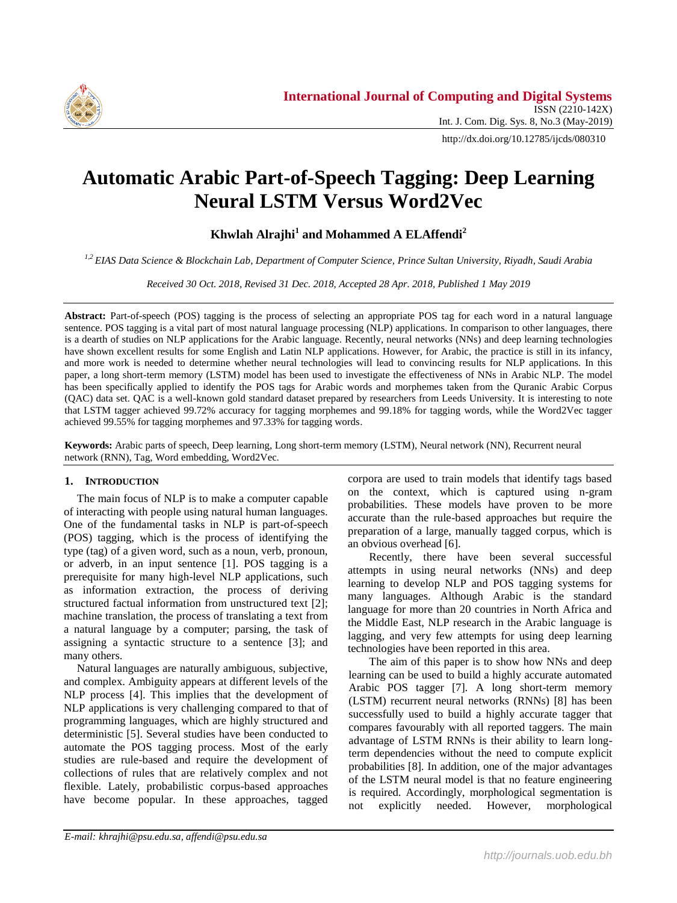

http://dx.doi.org/10.12785/ijcds/080310

# **Automatic Arabic Part-of-Speech Tagging: Deep Learning Neural LSTM Versus Word2Vec**

**Khwlah Alrajhi<sup>1</sup> and Mohammed A ELAffendi<sup>2</sup>**

*1,2 EIAS Data Science & Blockchain Lab, Department of Computer Science, Prince Sultan University, Riyadh, Saudi Arabia*

*Received 30 Oct. 2018, Revised 31 Dec. 2018, Accepted 28 Apr. 2018, Published 1 May 2019*

**Abstract:** Part-of-speech (POS) tagging is the process of selecting an appropriate POS tag for each word in a natural language sentence. POS tagging is a vital part of most natural language processing (NLP) applications. In comparison to other languages, there is a dearth of studies on NLP applications for the Arabic language. Recently, neural networks (NNs) and deep learning technologies have shown excellent results for some English and Latin NLP applications. However, for Arabic, the practice is still in its infancy, and more work is needed to determine whether neural technologies will lead to convincing results for NLP applications. In this paper, a long short-term memory (LSTM) model has been used to investigate the effectiveness of NNs in Arabic NLP. The model has been specifically applied to identify the POS tags for Arabic words and morphemes taken from the Quranic Arabic Corpus (QAC) data set. QAC is a well-known gold standard dataset prepared by researchers from Leeds University. It is interesting to note that LSTM tagger achieved 99.72% accuracy for tagging morphemes and 99.18% for tagging words, while the Word2Vec tagger achieved 99.55% for tagging morphemes and 97.33% for tagging words.

**Keywords:** Arabic parts of speech, Deep learning, Long short-term memory (LSTM), Neural network (NN), Recurrent neural network (RNN), Tag, Word embedding, Word2Vec.

## **1. INTRODUCTION**

The main focus of NLP is to make a computer capable of interacting with people using natural human languages. One of the fundamental tasks in NLP is part-of-speech (POS) tagging, which is the process of identifying the type (tag) of a given word, such as a noun, verb, pronoun, or adverb, in an input sentence [1]. POS tagging is a prerequisite for many high-level NLP applications, such as information extraction, the process of deriving structured factual information from unstructured text [2]; machine translation, the process of translating a text from a natural language by a computer; parsing, the task of assigning a syntactic structure to a sentence [3]; and many others.

Natural languages are naturally ambiguous, subjective, and complex. Ambiguity appears at different levels of the NLP process [4]. This implies that the development of NLP applications is very challenging compared to that of programming languages, which are highly structured and deterministic [5]. Several studies have been conducted to automate the POS tagging process. Most of the early studies are rule-based and require the development of collections of rules that are relatively complex and not flexible. Lately, probabilistic corpus-based approaches have become popular. In these approaches, tagged

corpora are used to train models that identify tags based on the context, which is captured using n-gram probabilities. These models have proven to be more accurate than the rule-based approaches but require the preparation of a large, manually tagged corpus, which is an obvious overhead [6].

Recently, there have been several successful attempts in using neural networks (NNs) and deep learning to develop NLP and POS tagging systems for many languages. Although Arabic is the standard language for more than 20 countries in North Africa and the Middle East, NLP research in the Arabic language is lagging, and very few attempts for using deep learning technologies have been reported in this area.

The aim of this paper is to show how NNs and deep learning can be used to build a highly accurate automated Arabic POS tagger [7]. A long short-term memory (LSTM) recurrent neural networks (RNNs) [8] has been successfully used to build a highly accurate tagger that compares favourably with all reported taggers. The main advantage of LSTM RNNs is their ability to learn longterm dependencies without the need to compute explicit probabilities [8]. In addition, one of the major advantages of the LSTM neural model is that no feature engineering is required. Accordingly, morphological segmentation is not explicitly needed. However, morphological

*E-mail: khrajhi@psu.edu.sa, affendi@psu.edu.sa*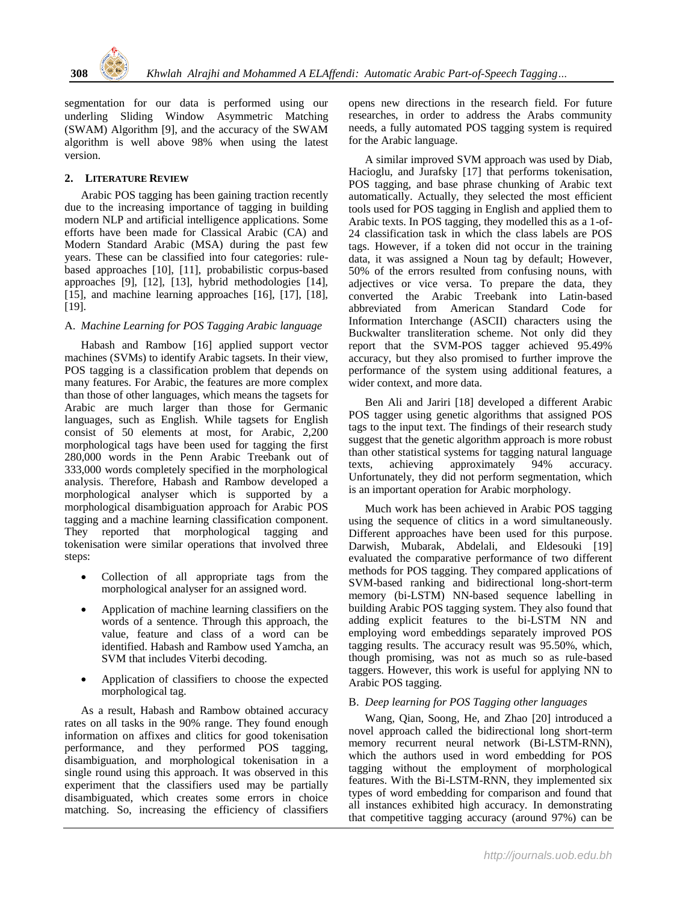

segmentation for our data is performed using our underling Sliding Window Asymmetric Matching (SWAM) Algorithm [9], and the accuracy of the SWAM algorithm is well above 98% when using the latest version.

## **2. LITERATURE REVIEW**

Arabic POS tagging has been gaining traction recently due to the increasing importance of tagging in building modern NLP and artificial intelligence applications. Some efforts have been made for Classical Arabic (CA) and Modern Standard Arabic (MSA) during the past few years. These can be classified into four categories: rulebased approaches [10], [11], probabilistic corpus-based approaches [9], [12], [13], hybrid methodologies [14], [15], and machine learning approaches [16], [17], [18], [19].

## A. *Machine Learning for POS Tagging Arabic language*

Habash and Rambow [16] applied support vector machines (SVMs) to identify Arabic tagsets. In their view, POS tagging is a classification problem that depends on many features. For Arabic, the features are more complex than those of other languages, which means the tagsets for Arabic are much larger than those for Germanic languages, such as English. While tagsets for English consist of 50 elements at most, for Arabic, 2,200 morphological tags have been used for tagging the first 280,000 words in the Penn Arabic Treebank out of 333,000 words completely specified in the morphological analysis. Therefore, Habash and Rambow developed a morphological analyser which is supported by a morphological disambiguation approach for Arabic POS tagging and a machine learning classification component. They reported that morphological tagging and tokenisation were similar operations that involved three steps:

- Collection of all appropriate tags from the morphological analyser for an assigned word.
- Application of machine learning classifiers on the words of a sentence. Through this approach, the value, feature and class of a word can be identified. Habash and Rambow used Yamcha, an SVM that includes Viterbi decoding.
- Application of classifiers to choose the expected morphological tag.

As a result, Habash and Rambow obtained accuracy rates on all tasks in the 90% range. They found enough information on affixes and clitics for good tokenisation performance, and they performed POS tagging, disambiguation, and morphological tokenisation in a single round using this approach. It was observed in this experiment that the classifiers used may be partially disambiguated, which creates some errors in choice matching. So, increasing the efficiency of classifiers opens new directions in the research field. For future researches, in order to address the Arabs community needs, a fully automated POS tagging system is required for the Arabic language.

A similar improved SVM approach was used by Diab, Hacioglu, and Jurafsky [17] that performs tokenisation, POS tagging, and base phrase chunking of Arabic text automatically. Actually, they selected the most efficient tools used for POS tagging in English and applied them to Arabic texts. In POS tagging, they modelled this as a 1-of-24 classification task in which the class labels are POS tags. However, if a token did not occur in the training data, it was assigned a Noun tag by default; However, 50% of the errors resulted from confusing nouns, with adjectives or vice versa. To prepare the data, they converted the Arabic Treebank into Latin-based abbreviated from American Standard Code for Information Interchange (ASCII) characters using the Buckwalter transliteration scheme. Not only did they report that the SVM-POS tagger achieved 95.49% accuracy, but they also promised to further improve the performance of the system using additional features, a wider context, and more data.

Ben Ali and Jariri [18] developed a different Arabic POS tagger using genetic algorithms that assigned POS tags to the input text. The findings of their research study suggest that the genetic algorithm approach is more robust than other statistical systems for tagging natural language<br>texts. achieving approximately 94% accuracy. texts, achieving approximately 94% Unfortunately, they did not perform segmentation, which is an important operation for Arabic morphology.

Much work has been achieved in Arabic POS tagging using the sequence of clitics in a word simultaneously. Different approaches have been used for this purpose. Darwish, Mubarak, Abdelali, and Eldesouki [19] evaluated the comparative performance of two different methods for POS tagging. They compared applications of SVM-based ranking and bidirectional long-short-term memory (bi-LSTM) NN-based sequence labelling in building Arabic POS tagging system. They also found that adding explicit features to the bi-LSTM NN and employing word embeddings separately improved POS tagging results. The accuracy result was 95.50%, which, though promising, was not as much so as rule-based taggers. However, this work is useful for applying NN to Arabic POS tagging.

### B. *Deep learning for POS Tagging other languages*

Wang, Qian, Soong, He, and Zhao [20] introduced a novel approach called the bidirectional long short-term memory recurrent neural network (Bi-LSTM-RNN), which the authors used in word embedding for POS tagging without the employment of morphological features. With the Bi-LSTM-RNN, they implemented six types of word embedding for comparison and found that all instances exhibited high accuracy. In demonstrating that competitive tagging accuracy (around 97%) can be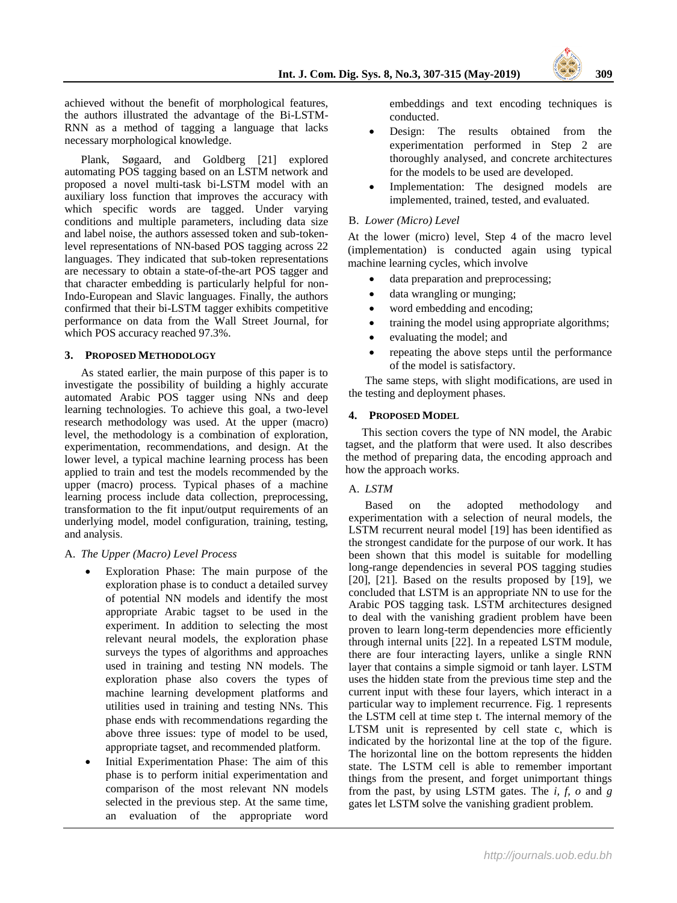achieved without the benefit of morphological features, the authors illustrated the advantage of the Bi-LSTM-RNN as a method of tagging a language that lacks necessary morphological knowledge.

Plank, Søgaard, and Goldberg [21] explored automating POS tagging based on an LSTM network and proposed a novel multi-task bi-LSTM model with an auxiliary loss function that improves the accuracy with which specific words are tagged. Under varying conditions and multiple parameters, including data size and label noise, the authors assessed token and sub-tokenlevel representations of NN-based POS tagging across 22 languages. They indicated that sub-token representations are necessary to obtain a state-of-the-art POS tagger and that character embedding is particularly helpful for non-Indo-European and Slavic languages. Finally, the authors confirmed that their bi-LSTM tagger exhibits competitive performance on data from the Wall Street Journal, for which POS accuracy reached 97.3%.

## **3. PROPOSED METHODOLOGY**

As stated earlier, the main purpose of this paper is to investigate the possibility of building a highly accurate automated Arabic POS tagger using NNs and deep learning technologies. To achieve this goal, a two-level research methodology was used. At the upper (macro) level, the methodology is a combination of exploration, experimentation, recommendations, and design. At the lower level, a typical machine learning process has been applied to train and test the models recommended by the upper (macro) process. Typical phases of a machine learning process include data collection, preprocessing, transformation to the fit input/output requirements of an underlying model, model configuration, training, testing, and analysis.

## A. *The Upper (Macro) Level Process*

- Exploration Phase: The main purpose of the exploration phase is to conduct a detailed survey of potential NN models and identify the most appropriate Arabic tagset to be used in the experiment. In addition to selecting the most relevant neural models, the exploration phase surveys the types of algorithms and approaches used in training and testing NN models. The exploration phase also covers the types of machine learning development platforms and utilities used in training and testing NNs. This phase ends with recommendations regarding the above three issues: type of model to be used, appropriate tagset, and recommended platform.
- Initial Experimentation Phase: The aim of this phase is to perform initial experimentation and comparison of the most relevant NN models selected in the previous step. At the same time, an evaluation of the appropriate word

embeddings and text encoding techniques is conducted.

- Design: The results obtained from the experimentation performed in Step 2 are thoroughly analysed, and concrete architectures for the models to be used are developed.
- Implementation: The designed models are implemented, trained, tested, and evaluated.

## B. *Lower (Micro) Level*

At the lower (micro) level, Step 4 of the macro level (implementation) is conducted again using typical machine learning cycles, which involve

- data preparation and preprocessing;
- data wrangling or munging;
- word embedding and encoding;
- training the model using appropriate algorithms;
- evaluating the model; and
- repeating the above steps until the performance of the model is satisfactory.

The same steps, with slight modifications, are used in the testing and deployment phases.

## **4. PROPOSED MODEL**

This section covers the type of NN model, the Arabic tagset, and the platform that were used. It also describes the method of preparing data, the encoding approach and how the approach works.

## A. *LSTM*

Based on the adopted methodology and experimentation with a selection of neural models, the LSTM recurrent neural model [19] has been identified as the strongest candidate for the purpose of our work. It has been shown that this model is suitable for modelling long-range dependencies in several POS tagging studies [20], [21]. Based on the results proposed by [19], we concluded that LSTM is an appropriate NN to use for the Arabic POS tagging task. LSTM architectures designed to deal with the vanishing gradient problem have been proven to learn long-term dependencies more efficiently through internal units [22]. In a repeated LSTM module, there are four interacting layers, unlike a single RNN layer that contains a simple sigmoid or tanh layer. LSTM uses the hidden state from the previous time step and the current input with these four layers, which interact in a particular way to implement recurrence. Fig. 1 represents the LSTM cell at time step t. The internal memory of the LTSM unit is represented by cell state c, which is indicated by the horizontal line at the top of the figure. The horizontal line on the bottom represents the hidden state. The LSTM cell is able to remember important things from the present, and forget unimportant things from the past, by using LSTM gates. The *i, f, o* and *g* gates let LSTM solve the vanishing gradient problem.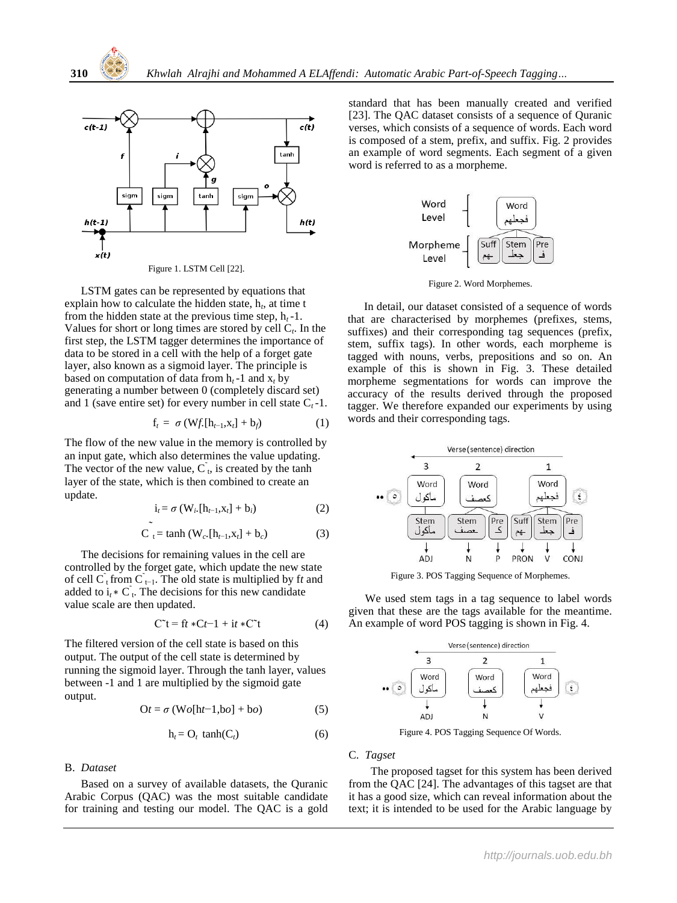

LSTM gates can be represented by equations that explain how to calculate the hidden state,  $h_t$ , at time t from the hidden state at the previous time step,  $h_t - 1$ . Values for short or long times are stored by cell C*<sup>t</sup>* . In the first step, the LSTM tagger determines the importance of data to be stored in a cell with the help of a forget gate layer, also known as a sigmoid layer. The principle is based on computation of data from  $h_t$ -1 and  $x_t$  by generating a number between 0 (completely discard set) and 1 (save entire set) for every number in cell state  $C_t$ -1.

$$
\mathbf{f}_t = \sigma \left( \mathbf{W} f_t[\mathbf{h}_{t-1}, \mathbf{x}_t] + \mathbf{b}_f \right) \tag{1}
$$

The flow of the new value in the memory is controlled by an input gate, which also determines the value updating. The vector of the new value,  $\overrightarrow{C}_t$ , is created by the tanh layer of the state, which is then combined to create an update.

$$
\dot{\mathbf{i}}_t = \sigma \left( \mathbf{W}_i, [\mathbf{h}_{t-1}, \mathbf{x}_t] + \mathbf{b}_i \right) \tag{2}
$$

$$
\sum_{t=1}^{\infty} \frac{1}{t} = \tanh (W_{c} [h_{t-1}, x_t] + b_c)
$$
 (3)

The decisions for remaining values in the cell are controlled by the forget gate, which update the new state of cell  $\overline{C}_t$  from  $\overline{C}_{t-1}$ . The old state is multiplied by ft and added to  $i_t * C_t$ . The decisions for this new candidate value scale are then updated.

$$
C^{\sim}t = ft * Ct - 1 + it * C^{\sim}t \tag{4}
$$

The filtered version of the cell state is based on this output. The output of the cell state is determined by running the sigmoid layer. Through the tanh layer, values between -1 and 1 are multiplied by the sigmoid gate output.

$$
Or = \sigma (Wo[ht-1, bo] + bo)
$$
 (5)

$$
h_t = O_t \tanh(C_t) \tag{6}
$$

#### B. *Dataset*

Based on a survey of available datasets, the Quranic Arabic Corpus (QAC) was the most suitable candidate for training and testing our model. The QAC is a gold standard that has been manually created and verified [23]. The QAC dataset consists of a sequence of Quranic verses, which consists of a sequence of words. Each word is composed of a stem, prefix, and suffix. Fig. 2 provides an example of word segments. Each segment of a given word is referred to as a morpheme.



Figure 2. Word Morphemes.

In detail, our dataset consisted of a sequence of words that are characterised by morphemes (prefixes, stems, suffixes) and their corresponding tag sequences (prefix, stem, suffix tags). In other words, each morpheme is tagged with nouns, verbs, prepositions and so on. An example of this is shown in Fig. 3. These detailed morpheme segmentations for words can improve the accuracy of the results derived through the proposed tagger. We therefore expanded our experiments by using words and their corresponding tags.



Figure 3. POS Tagging Sequence of Morphemes.

We used stem tags in a tag sequence to label words given that these are the tags available for the meantime. An example of word POS tagging is shown in Fig. 4.



Figure 4. POS Tagging Sequence Of Words.

#### C. *Tagset*

 The proposed tagset for this system has been derived from the QAC [24]. The advantages of this tagset are that it has a good size, which can reveal information about the text; it is intended to be used for the Arabic language by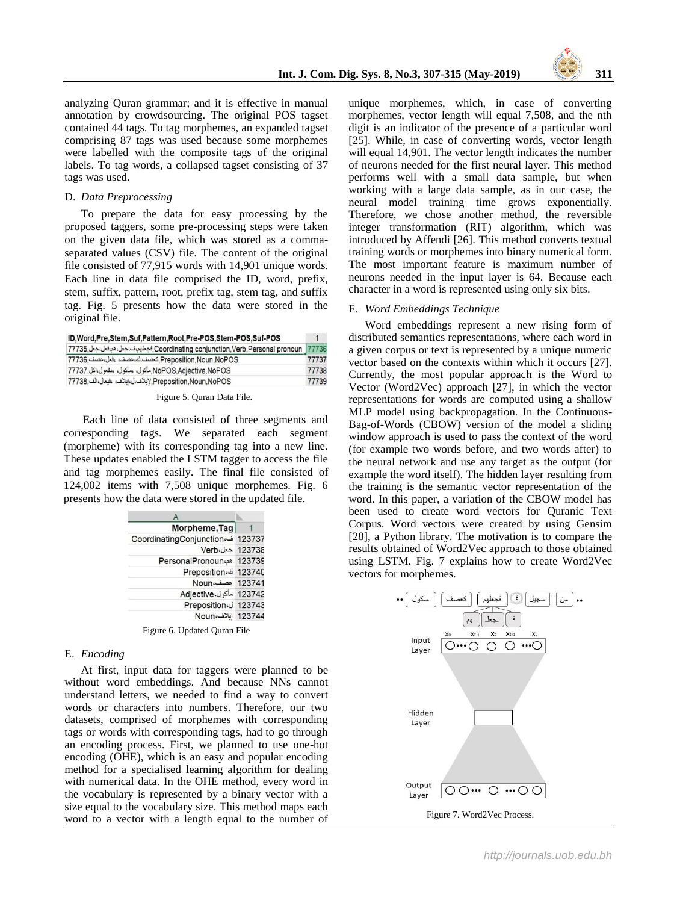

analyzing Quran grammar; and it is effective in manual annotation by crowdsourcing. The original POS tagset contained 44 tags. To tag morphemes, an expanded tagset comprising 87 tags was used because some morphemes were labelled with the composite tags of the original labels. To tag words, a collapsed tagset consisting of 37 tags was used.

#### D. *Data Preprocessing*

To prepare the data for easy processing by the proposed taggers, some pre-processing steps were taken on the given data file, which was stored as a commaseparated values (CSV) file. The content of the original file consisted of 77,915 words with 14,901 unique words. Each line in data file comprised the ID, word, prefix, stem, suffix, pattern, root, prefix tag, stem tag, and suffix tag. Fig. 5 presents how the data were stored in the original file.

| ID.Word.Pre.Stem.Suf.Pattern.Root.Pre-POS.Stem-POS.Suf-POS                         |       |
|------------------------------------------------------------------------------------|-------|
| Coordinating conjunction,Verb,Personal pronoun  77736, فجعلهم،ف،جعل،هيغل،جعل 77735 |       |
| Preposition.Noun.NoPOS. كعصف،ك،عصف، وفعل،عصف .77736                                | 77737 |
| NoPOS,Adjective,NoPOS, المكول المفعول الكل 77737                                   | 77738 |
| Preposition,Noun,NoPOS, لإيلاف، ايلاف، الجعل،الف 77738                             | 77739 |

Figure 5. Quran Data File.

Each line of data consisted of three segments and corresponding tags. We separated each segment (morpheme) with its corresponding tag into a new line. These updates enabled the LSTM tagger to access the file and tag morphemes easily. The final file consisted of 124,002 items with 7,508 unique morphemes. Fig. 6 presents how the data were stored in the updated file.

| Morpheme, Tag                    |  |
|----------------------------------|--|
| 123737 ف CoordinatingConjunction |  |
| 123738 حعل Verb                  |  |
| 123739   APronoun                |  |
| Preposition. <sup>1</sup> 123740 |  |
| 123741 عصف Noun                  |  |
| 123742 ماكول،Adjective           |  |
| Preposition J 123743             |  |
| 123744 إيلاف،Noun                |  |

Figure 6. Updated Quran File

#### E. *Encoding*

At first, input data for taggers were planned to be without word embeddings. And because NNs cannot understand letters, we needed to find a way to convert words or characters into numbers. Therefore, our two datasets, comprised of morphemes with corresponding tags or words with corresponding tags, had to go through an encoding process. First, we planned to use one-hot encoding (OHE), which is an easy and popular encoding method for a specialised learning algorithm for dealing with numerical data. In the OHE method, every word in the vocabulary is represented by a binary vector with a size equal to the vocabulary size. This method maps each word to a vector with a length equal to the number of unique morphemes, which, in case of converting morphemes, vector length will equal 7,508, and the nth digit is an indicator of the presence of a particular word [25]. While, in case of converting words, vector length will equal 14,901. The vector length indicates the number of neurons needed for the first neural layer. This method performs well with a small data sample, but when working with a large data sample, as in our case, the neural model training time grows exponentially. Therefore, we chose another method, the reversible integer transformation (RIT) algorithm, which was introduced by Affendi [26]. This method converts textual training words or morphemes into binary numerical form. The most important feature is maximum number of neurons needed in the input layer is 64. Because each character in a word is represented using only six bits.

#### F. *Word Embeddings Technique*

Word embeddings represent a new rising form of distributed semantics representations, where each word in a given corpus or text is represented by a unique numeric vector based on the contexts within which it occurs [27]. Currently, the most popular approach is the Word to Vector (Word2Vec) approach [27], in which the vector representations for words are computed using a shallow MLP model using backpropagation. In the Continuous-Bag-of-Words (CBOW) version of the model a sliding window approach is used to pass the context of the word (for example two words before, and two words after) to the neural network and use any target as the output (for example the word itself). The hidden layer resulting from the training is the semantic vector representation of the word. In this paper, a variation of the CBOW model has been used to create word vectors for Quranic Text Corpus. Word vectors were created by using Gensim [28], a Python library. The motivation is to compare the results obtained of Word2Vec approach to those obtained using LSTM. Fig. 7 explains how to create Word2Vec vectors for morphemes.

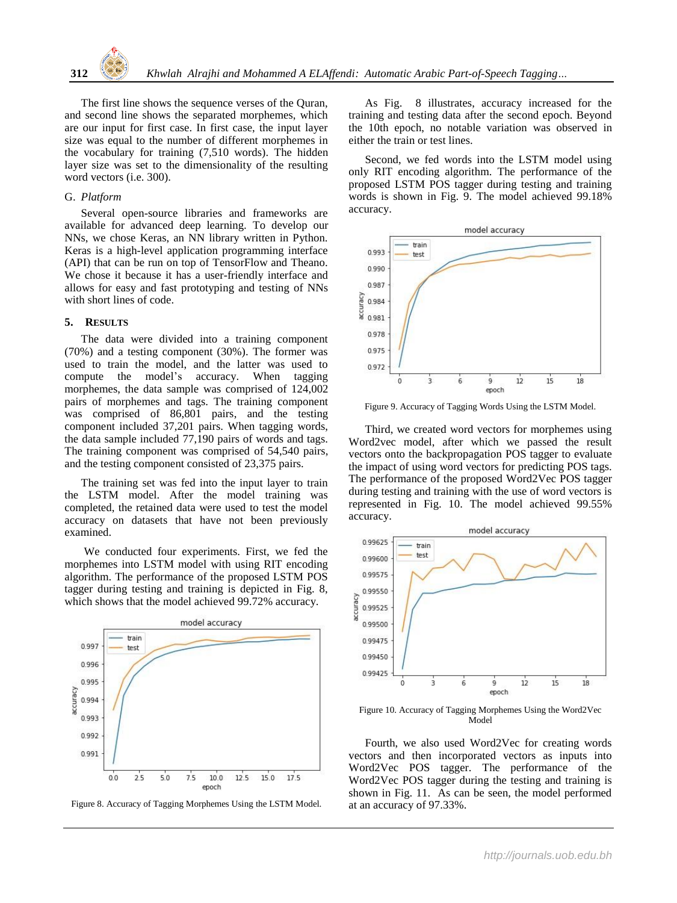The first line shows the sequence verses of the Quran, and second line shows the separated morphemes, which are our input for first case. In first case, the input layer size was equal to the number of different morphemes in the vocabulary for training (7,510 words). The hidden layer size was set to the dimensionality of the resulting word vectors (i.e. 300).

#### G. *Platform*

Several open-source libraries and frameworks are available for advanced deep learning. To develop our NNs, we chose Keras, an NN library written in Python. Keras is a high-level application programming interface (API) that can be run on top of TensorFlow and Theano. We chose it because it has a user-friendly interface and allows for easy and fast prototyping and testing of NNs with short lines of code.

#### **5. RESULTS**

The data were divided into a training component (70%) and a testing component (30%). The former was used to train the model, and the latter was used to compute the model's accuracy. When tagging morphemes, the data sample was comprised of 124,002 pairs of morphemes and tags. The training component was comprised of 86,801 pairs, and the testing component included 37,201 pairs. When tagging words, the data sample included 77,190 pairs of words and tags. The training component was comprised of 54,540 pairs, and the testing component consisted of 23,375 pairs.

The training set was fed into the input layer to train the LSTM model. After the model training was completed, the retained data were used to test the model accuracy on datasets that have not been previously examined.

We conducted four experiments. First, we fed the morphemes into LSTM model with using RIT encoding algorithm. The performance of the proposed LSTM POS tagger during testing and training is depicted in Fig. 8, which shows that the model achieved 99.72% accuracy.



Figure 8. Accuracy of Tagging Morphemes Using the LSTM Model.

As Fig. 8 illustrates, accuracy increased for the training and testing data after the second epoch. Beyond the 10th epoch, no notable variation was observed in either the train or test lines.

Second, we fed words into the LSTM model using only RIT encoding algorithm. The performance of the proposed LSTM POS tagger during testing and training words is shown in Fig. 9. The model achieved 99.18% accuracy.



Figure 9. Accuracy of Tagging Words Using the LSTM Model.

Third, we created word vectors for morphemes using Word2vec model, after which we passed the result vectors onto the backpropagation POS tagger to evaluate the impact of using word vectors for predicting POS tags. The performance of the proposed Word2Vec POS tagger during testing and training with the use of word vectors is represented in Fig. 10. The model achieved 99.55% accuracy.



Figure 10. Accuracy of Tagging Morphemes Using the Word2Vec Model

Fourth, we also used Word2Vec for creating words vectors and then incorporated vectors as inputs into Word2Vec POS tagger. The performance of the Word2Vec POS tagger during the testing and training is shown in Fig. 11. As can be seen, the model performed at an accuracy of 97.33%.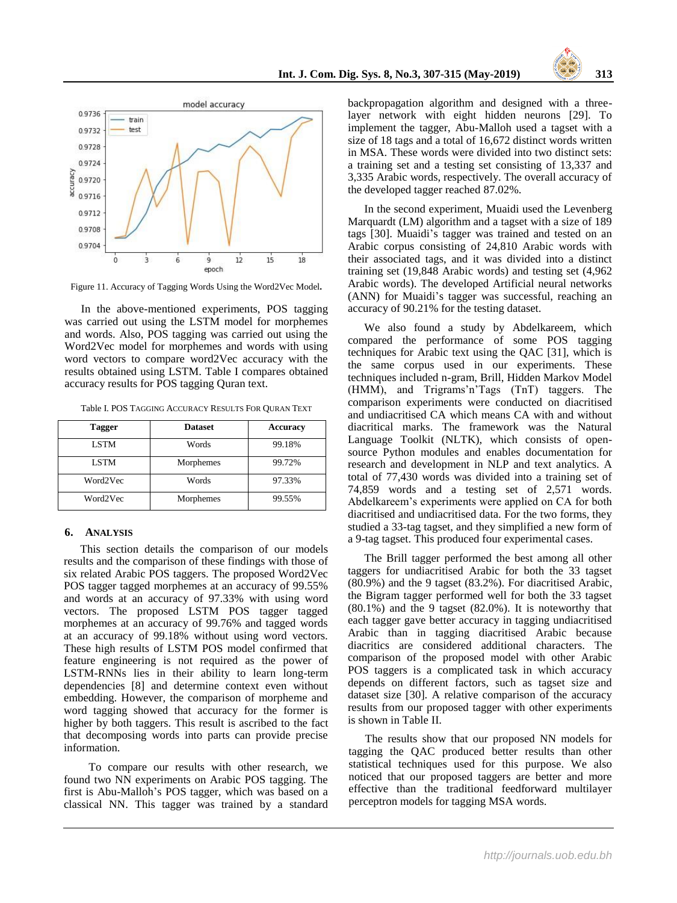



Figure 11. Accuracy of Tagging Words Using the Word2Vec Model**.**

In the above-mentioned experiments, POS tagging was carried out using the LSTM model for morphemes and words. Also, POS tagging was carried out using the Word2Vec model for morphemes and words with using word vectors to compare word2Vec accuracy with the results obtained using LSTM. Table I compares obtained accuracy results for POS tagging Quran text.

| <b>Tagger</b> | <b>Dataset</b> | Accuracy |  |
|---------------|----------------|----------|--|
| <b>LSTM</b>   | Words          | 99.18%   |  |
| <b>LSTM</b>   | Morphemes      | 99.72%   |  |

Word2Vec Words 97.33% Word2Vec Morphemes 99.55%

Table I. POS TAGGING ACCURACY RESULTS FOR QURAN TEXT

#### **6. ANALYSIS**

This section details the comparison of our models results and the comparison of these findings with those of six related Arabic POS taggers. The proposed Word2Vec POS tagger tagged morphemes at an accuracy of 99.55% and words at an accuracy of 97.33% with using word vectors. The proposed LSTM POS tagger tagged morphemes at an accuracy of 99.76% and tagged words at an accuracy of 99.18% without using word vectors. These high results of LSTM POS model confirmed that feature engineering is not required as the power of LSTM-RNNs lies in their ability to learn long-term dependencies [8] and determine context even without embedding. However, the comparison of morpheme and word tagging showed that accuracy for the former is higher by both taggers. This result is ascribed to the fact that decomposing words into parts can provide precise information.

 To compare our results with other research, we found two NN experiments on Arabic POS tagging. The first is Abu-Malloh's POS tagger, which was based on a classical NN. This tagger was trained by a standard backpropagation algorithm and designed with a threelayer network with eight hidden neurons [29]. To implement the tagger, Abu-Malloh used a tagset with a size of 18 tags and a total of 16,672 distinct words written in MSA. These words were divided into two distinct sets: a training set and a testing set consisting of 13,337 and 3,335 Arabic words, respectively. The overall accuracy of the developed tagger reached 87.02%.

In the second experiment, Muaidi used the Levenberg Marquardt (LM) algorithm and a tagset with a size of 189 tags [30]. Muaidi's tagger was trained and tested on an Arabic corpus consisting of 24,810 Arabic words with their associated tags, and it was divided into a distinct training set (19,848 Arabic words) and testing set (4,962 Arabic words). The developed Artificial neural networks (ANN) for Muaidi's tagger was successful, reaching an accuracy of 90.21% for the testing dataset.

We also found a study by Abdelkareem, which compared the performance of some POS tagging techniques for Arabic text using the QAC [31], which is the same corpus used in our experiments. These techniques included n-gram, Brill, Hidden Markov Model (HMM), and Trigrams'n'Tags (TnT) taggers. The comparison experiments were conducted on diacritised and undiacritised CA which means CA with and without diacritical marks. The framework was the Natural Language Toolkit (NLTK), which consists of opensource Python modules and enables documentation for research and development in NLP and text analytics. A total of 77,430 words was divided into a training set of 74,859 words and a testing set of 2,571 words. Abdelkareem's experiments were applied on CA for both diacritised and undiacritised data. For the two forms, they studied a 33-tag tagset, and they simplified a new form of a 9-tag tagset. This produced four experimental cases.

The Brill tagger performed the best among all other taggers for undiacritised Arabic for both the 33 tagset (80.9%) and the 9 tagset (83.2%). For diacritised Arabic, the Bigram tagger performed well for both the 33 tagset (80.1%) and the 9 tagset (82.0%). It is noteworthy that each tagger gave better accuracy in tagging undiacritised Arabic than in tagging diacritised Arabic because diacritics are considered additional characters. The comparison of the proposed model with other Arabic POS taggers is a complicated task in which accuracy depends on different factors, such as tagset size and dataset size [30]. A relative comparison of the accuracy results from our proposed tagger with other experiments is shown in Table II.

The results show that our proposed NN models for tagging the QAC produced better results than other statistical techniques used for this purpose. We also noticed that our proposed taggers are better and more effective than the traditional feedforward multilayer perceptron models for tagging MSA words.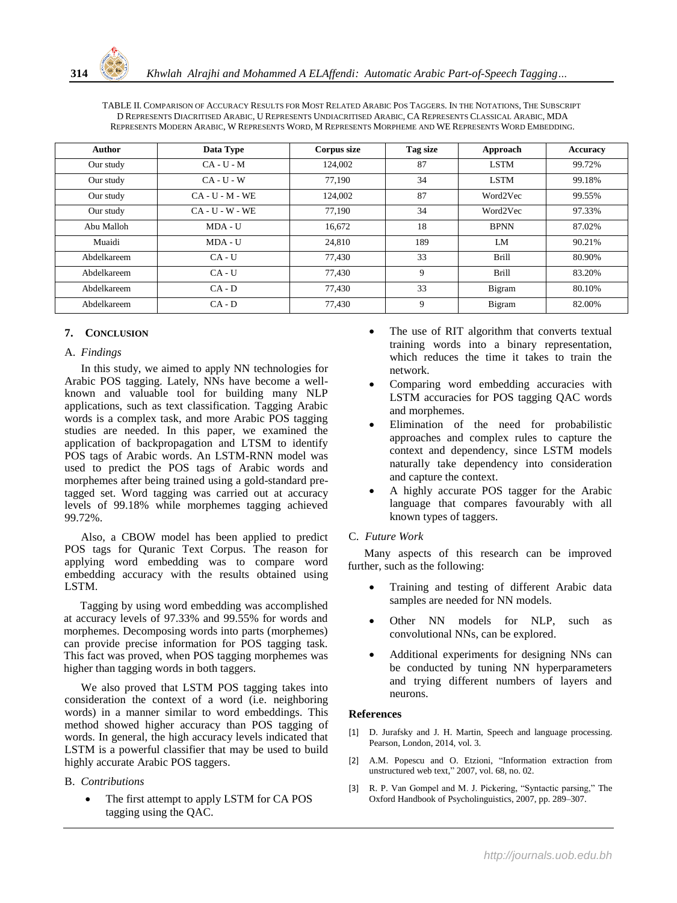

| Author      | Data Type         | Corpus size | Tag size | Approach     | Accuracy |
|-------------|-------------------|-------------|----------|--------------|----------|
| Our study   | $CA - U - M$      | 124,002     | 87       | <b>LSTM</b>  | 99.72%   |
| Our study   | $CA - U - W$      | 77.190      | 34       | <b>LSTM</b>  | 99.18%   |
| Our study   | $CA - U - M - WE$ | 124,002     | 87       | Word2Vec     | 99.55%   |
| Our study   | $CA - U - W - WE$ | 77.190      | 34       | Word2Vec     | 97.33%   |
| Abu Malloh  | MDA - U           | 16,672      | 18       | <b>BPNN</b>  | 87.02%   |
| Muaidi      | MDA - U           | 24.810      | 189      | LM           | 90.21%   |
| Abdelkareem | $CA - U$          | 77,430      | 33       | <b>Brill</b> | 80.90%   |
| Abdelkareem | $CA - U$          | 77.430      | 9        | <b>Brill</b> | 83.20%   |
| Abdelkareem | $CA - D$          | 77,430      | 33       | Bigram       | 80.10%   |
| Abdelkareem | $CA - D$          | 77.430      | 9        | Bigram       | 82.00%   |

## **7. CONCLUSION**

### A. *Findings*

In this study, we aimed to apply NN technologies for Arabic POS tagging. Lately, NNs have become a wellknown and valuable tool for building many NLP applications, such as text classification. Tagging Arabic words is a complex task, and more Arabic POS tagging studies are needed. In this paper, we examined the application of backpropagation and LTSM to identify POS tags of Arabic words. An LSTM-RNN model was used to predict the POS tags of Arabic words and morphemes after being trained using a gold-standard pretagged set. Word tagging was carried out at accuracy levels of 99.18% while morphemes tagging achieved 99.72%.

Also, a CBOW model has been applied to predict POS tags for Quranic Text Corpus. The reason for applying word embedding was to compare word embedding accuracy with the results obtained using LSTM.

Tagging by using word embedding was accomplished at accuracy levels of 97.33% and 99.55% for words and morphemes. Decomposing words into parts (morphemes) can provide precise information for POS tagging task. This fact was proved, when POS tagging morphemes was higher than tagging words in both taggers.

We also proved that LSTM POS tagging takes into consideration the context of a word (i.e. neighboring words) in a manner similar to word embeddings. This method showed higher accuracy than POS tagging of words. In general, the high accuracy levels indicated that LSTM is a powerful classifier that may be used to build highly accurate Arabic POS taggers.

### B. *Contributions*

 The first attempt to apply LSTM for CA POS tagging using the QAC.

- The use of RIT algorithm that converts textual training words into a binary representation, which reduces the time it takes to train the network.
- Comparing word embedding accuracies with LSTM accuracies for POS tagging QAC words and morphemes.
- Elimination of the need for probabilistic approaches and complex rules to capture the context and dependency, since LSTM models naturally take dependency into consideration and capture the context.
- A highly accurate POS tagger for the Arabic language that compares favourably with all known types of taggers.

### C. *Future Work*

Many aspects of this research can be improved further, such as the following:

- Training and testing of different Arabic data samples are needed for NN models.
- Other NN models for NLP, such as convolutional NNs, can be explored.
- Additional experiments for designing NNs can be conducted by tuning NN hyperparameters and trying different numbers of layers and neurons.

### **References**

- [1] D. Jurafsky and J. H. Martin, Speech and language processing. Pearson, London, 2014, vol. 3.
- [2] A.M. Popescu and O. Etzioni, "Information extraction from unstructured web text," 2007, vol. 68, no. 02.
- [3] R. P. Van Gompel and M. J. Pickering, "Syntactic parsing," The Oxford Handbook of Psycholinguistics, 2007, pp. 289–307.